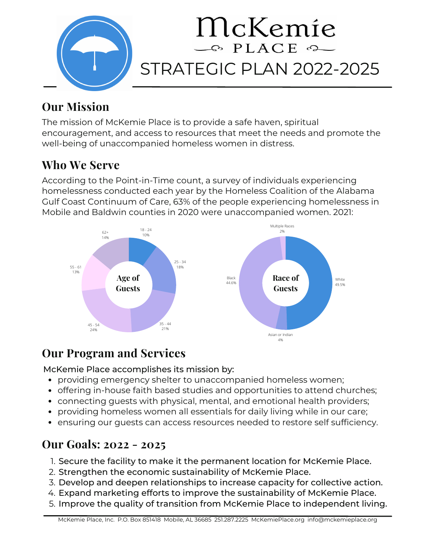

# **Our Mission**

The mission of McKemie Place is to provide a safe haven, spiritual encouragement, and access to resources that meet the needs and promote the well-being of unaccompanied homeless women in distress.

## **Who We Serve**

According to the Point-in-Time count, a survey of individuals experiencing homelessness conducted each year by the Homeless Coalition of the Alabama Gulf Coast Continuum of Care, 63% of the people experiencing homelessness in Mobile and Baldwin counties in 2020 were unaccompanied women. 2021:



## **Our Program and Services**

McKemie Place accomplishes its mission by:

- providing emergency shelter to unaccompanied homeless women;
- offering in-house faith based studies and opportunities to attend churches;
- connecting guests with physical, mental, and emotional health providers;
- providing homeless women all essentials for daily living while in our care;
- ensuring our guests can access resources needed to restore self sufficiency.

### **Our Goals: 2022 - 2025**

- 1. Secure the facility to make it the permanent location for McKemie Place.
- 2. Strengthen the economic sustainability of McKemie Place.
- Develop and deepen relationships to increase capacity for collective action. 3.
- Expand marketing efforts to improve the sustainability of McKemie Place. 4.
- 5. Improve the quality of transition from McKemie Place to independent living.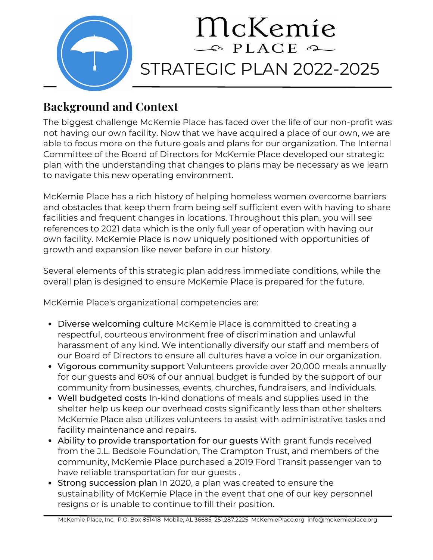

## **Background and Context**

The biggest challenge McKemie Place has faced over the life of our non-profit was not having our own facility. Now that we have acquired a place of our own, we are able to focus more on the future goals and plans for our organization. The Internal Committee of the Board of Directors for McKemie Place developed our strategic plan with the understanding that changes to plans may be necessary as we learn to navigate this new operating environment.

McKemie Place has a rich history of helping homeless women overcome barriers and obstacles that keep them from being self sufficient even with having to share facilities and frequent changes in locations. Throughout this plan, you will see references to 2021 data which is the only full year of operation with having our own facility. McKemie Place is now uniquely positioned with opportunities of growth and expansion like never before in our history.

Several elements of this strategic plan address immediate conditions, while the overall plan is designed to ensure McKemie Place is prepared for the future.

McKemie Place's organizational competencies are:

- Diverse welcoming culture McKemie Place is committed to creating a respectful, courteous environment free of discrimination and unlawful harassment of any kind. We intentionally diversify our staff and members of our Board of Directors to ensure all cultures have a voice in our organization.
- Vigorous community support Volunteers provide over 20,000 meals annually for our guests and 60% of our annual budget is funded by the support of our community from businesses, events, churches, fundraisers, and individuals.
- Well budgeted costs In-kind donations of meals and supplies used in the shelter help us keep our overhead costs significantly less than other shelters. McKemie Place also utilizes volunteers to assist with administrative tasks and facility maintenance and repairs.
- Ability to provide transportation for our guests With grant funds received from the J.L. Bedsole Foundation, The Crampton Trust, and members of the community, McKemie Place purchased a 2019 Ford Transit passenger van to have reliable transportation for our guests .
- Strong succession plan In 2020, a plan was created to ensure the sustainability of McKemie Place in the event that one of our key personnel resigns or is unable to continue to fill their position.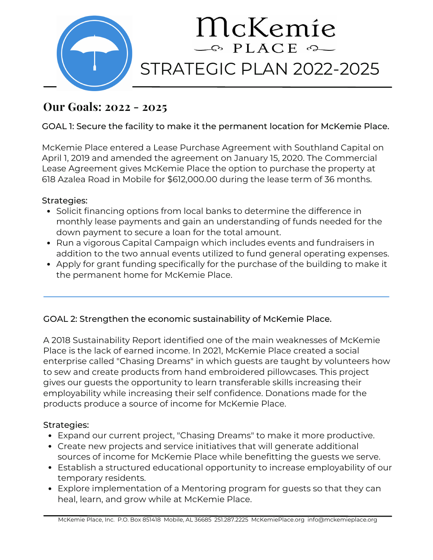

### **Our Goals: 2022 - 2025**

#### GOAL 1: Secure the facility to make it the permanent location for McKemie Place.

McKemie Place entered a Lease Purchase Agreement with Southland Capital on April 1, 2019 and amended the agreement on January 15, 2020. The Commercial Lease Agreement gives McKemie Place the option to purchase the property at 618 Azalea Road in Mobile for \$612,000.00 during the lease term of 36 months.

#### Strategies:

- Solicit financing options from local banks to determine the difference in monthly lease payments and gain an understanding of funds needed for the down payment to secure a loan for the total amount.
- Run a vigorous Capital Campaign which includes events and fundraisers in addition to the two annual events utilized to fund general operating expenses.
- Apply for grant funding specifically for the purchase of the building to make it the permanent home for McKemie Place.

#### GOAL 2: Strengthen the economic sustainability of McKemie Place.

A 2018 Sustainability Report identified one of the main weaknesses of McKemie Place is the lack of earned income. In 2021, McKemie Place created a social enterprise called "Chasing Dreams" in which guests are taught by volunteers how to sew and create products from hand embroidered pillowcases. This project gives our guests the opportunity to learn transferable skills increasing their employability while increasing their self confidence. Donations made for the products produce a source of income for McKemie Place.

#### Strategies:

- Expand our current project, "Chasing Dreams" to make it more productive.
- Create new projects and service initiatives that will generate additional sources of income for McKemie Place while benefitting the guests we serve.
- Establish a structured educational opportunity to increase employability of our temporary residents.
- Explore implementation of a Mentoring program for guests so that they can heal, learn, and grow while at McKemie Place.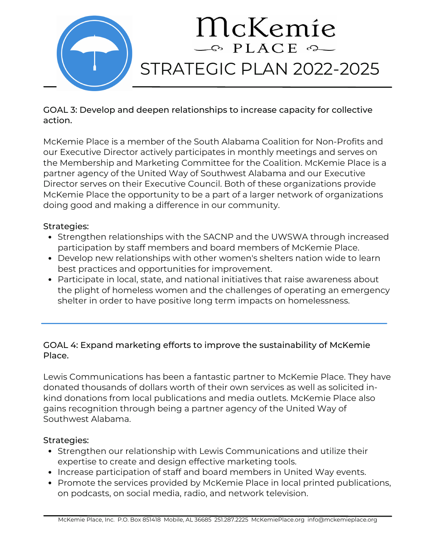

GOAL 3: Develop and deepen relationships to increase capacity for collective action.

McKemie Place is a member of the South Alabama Coalition for Non-Profits and our Executive Director actively participates in monthly meetings and serves on the Membership and Marketing Committee for the Coalition. McKemie Place is a partner agency of the United Way of Southwest Alabama and our Executive Director serves on their Executive Council. Both of these organizations provide McKemie Place the opportunity to be a part of a larger network of organizations doing good and making a difference in our community.

#### Strategies:

- Strengthen relationships with the SACNP and the UWSWA through increased participation by staff members and board members of McKemie Place.
- Develop new relationships with other women's shelters nation wide to learn best practices and opportunities for improvement.
- Participate in local, state, and national initiatives that raise awareness about the plight of homeless women and the challenges of operating an emergency shelter in order to have positive long term impacts on homelessness.

#### GOAL 4: Expand marketing efforts to improve the sustainability of McKemie Place.

Lewis Communications has been a fantastic partner to McKemie Place. They have donated thousands of dollars worth of their own services as well as solicited inkind donations from local publications and media outlets. McKemie Place also gains recognition through being a partner agency of the United Way of Southwest Alabama.

#### Strategies:

- Strengthen our relationship with Lewis Communications and utilize their expertise to create and design effective marketing tools.
- Increase participation of staff and board members in United Way events.
- Promote the services provided by McKemie Place in local printed publications, on podcasts, on social media, radio, and network television.